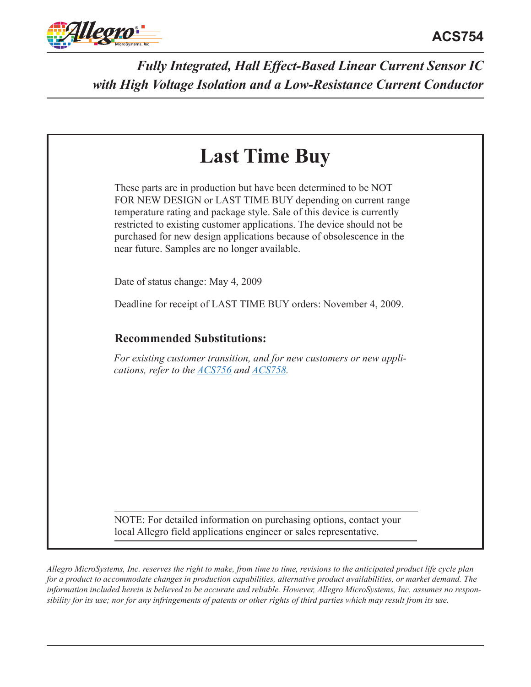

| FOR NEW DESIGN or LAST TIME BUY depending on current range<br>temperature rating and package style. Sale of this device is currently<br>restricted to existing customer applications. The device should not be<br>purchased for new design applications because of obsolescence in the<br>near future. Samples are no longer available. | These parts are in production but have been determined to be NOT |
|-----------------------------------------------------------------------------------------------------------------------------------------------------------------------------------------------------------------------------------------------------------------------------------------------------------------------------------------|------------------------------------------------------------------|
| Date of status change: May 4, 2009                                                                                                                                                                                                                                                                                                      |                                                                  |
| Deadline for receipt of LAST TIME BUY orders: November 4, 2009.                                                                                                                                                                                                                                                                         |                                                                  |
| <b>Recommended Substitutions:</b>                                                                                                                                                                                                                                                                                                       |                                                                  |
| For existing customer transition, and for new customers or new appli-<br>cations, refer to the ACS756 and ACS758.                                                                                                                                                                                                                       |                                                                  |
|                                                                                                                                                                                                                                                                                                                                         |                                                                  |
|                                                                                                                                                                                                                                                                                                                                         |                                                                  |

*Allegro MicroSystems, Inc. reserves the right to make, from time to time, revisions to the anticipated product life cycle plan for a product to accommodate changes in production capabilities, alternative product availabilities, or market demand. The information included herein is believed to be accurate and reliable. However, Allegro MicroSystems, Inc. assumes no responsibility for its use; nor for any infringements of patents or other rights of third parties which may result from its use.*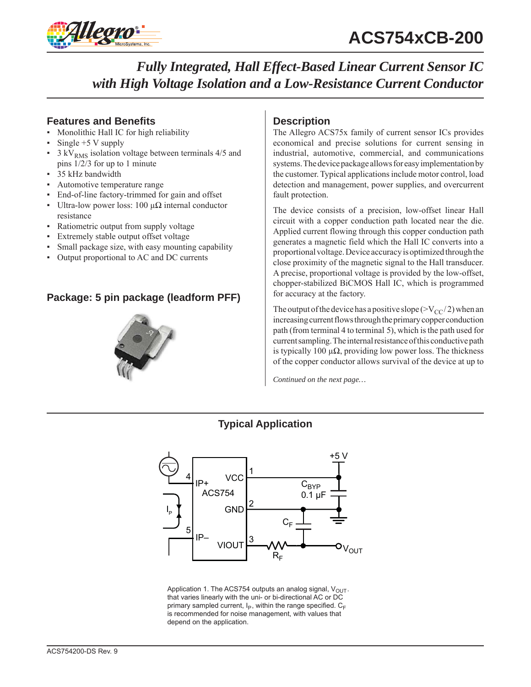

# **Features and Benefits**

- Monolithic Hall IC for high reliability
- Single  $+5$  V supply
- $3 \text{ kV}_{RMS}$  isolation voltage between terminals 4/5 and pins 1/2/3 for up to 1 minute
- 35 kHz bandwidth
- Automotive temperature range
- End-of-line factory-trimmed for gain and offset
- Ultra-low power loss: 100 μ $Ω$  internal conductor resistance
- Ratiometric output from supply voltage
- Extremely stable output offset voltage
- Small package size, with easy mounting capability
- Output proportional to AC and DC currents

# **Package: 5 pin package (leadform PFF)**



## **Description**

The Allegro ACS75x family of current sensor ICs provides economical and precise solutions for current sensing in industrial, automotive, commercial, and communications systems. The device package allows for easy implementation by the customer. Typical applications include motor control, load detection and management, power supplies, and overcurrent fault protection.

The device consists of a precision, low-offset linear Hall circuit with a copper conduction path located near the die. Applied current flowing through this copper conduction path generates a magnetic field which the Hall IC converts into a proportional voltage. Device accuracy is optimized through the close proximity of the magnetic signal to the Hall transducer. A precise, proportional voltage is provided by the low-offset, chopper-stabilized BiCMOS Hall IC, which is programmed for accuracy at the factory.

The output of the device has a positive slope ( $>V_{CC}/2$ ) when an increasing current flows through the primary copper conduction path (from terminal 4 to terminal 5), which is the path used for current sampling. The internal resistance of this conductive path is typically 100  $\mu\Omega$ , providing low power loss. The thickness of the copper conductor allows survival of the device at up to

*Continued on the next page…*





Application 1. The ACS754 outputs an analog signal,  $V_{\text{OUT}}$ . that varies linearly with the uni- or bi-directional AC or DC primary sampled current,  $I_P$ , within the range specified.  $C_F$ is recommended for noise management, with values that depend on the application.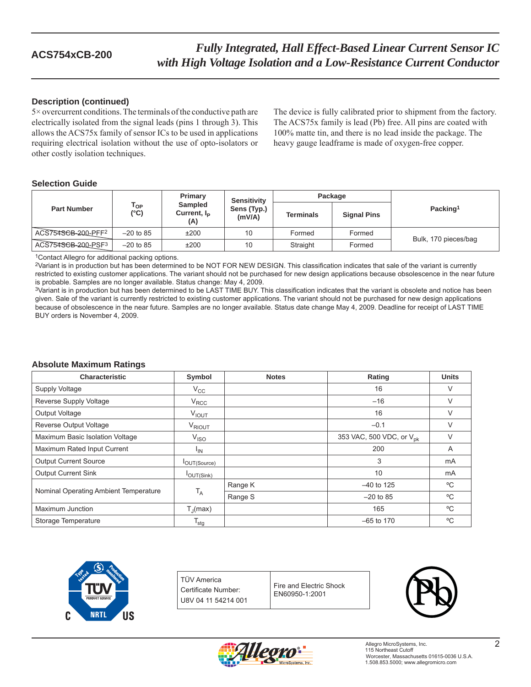## **Description (continued)**

5× overcurrent conditions. The terminals of the conductive path are electrically isolated from the signal leads (pins 1 through 3). This allows the ACS75x family of sensor ICs to be used in applications requiring electrical isolation without the use of opto-isolators or other costly isolation techniques.

The device is fully calibrated prior to shipment from the factory. The ACS75x family is lead (Pb) free. All pins are coated with 100% matte tin, and there is no lead inside the package. The heavy gauge leadframe is made of oxygen-free copper.

## **Selection Guide**

|                    |                       | Primary<br><b>Sampled</b><br>Current, $I_P$<br>(A) | <b>Sensitivity</b>    | Package          |                    |                      |  |
|--------------------|-----------------------|----------------------------------------------------|-----------------------|------------------|--------------------|----------------------|--|
| <b>Part Number</b> | l op<br>$(^{\circ}C)$ |                                                    | Sens (Typ.)<br>(mV/A) | <b>Terminals</b> | <b>Signal Pins</b> | Packing <sup>1</sup> |  |
| ACS754SCB-200-PFF2 | $-20$ to 85           | ±200                                               | 10                    | Formed           | Formed             |                      |  |
| ACS754SCB-200-PSF3 | $-20$ to 85           | ±200                                               | 10                    | Straight         | Formed             | Bulk, 170 pieces/bag |  |

1Contact Allegro for additional packing options.

2Variant is in production but has been determined to be NOT FOR NEW DESIGN. This classification indicates that sale of the variant is currently restricted to existing customer applications. The variant should not be purchased for new design applications because obsolescence in the near future is probable. Samples are no longer available. Status change: May 4, 2009.

<sup>3</sup>Variant is in production but has been determined to be LAST TIME BUY. This classification indicates that the variant is obsolete and notice has been given. Sale of the variant is currently restricted to existing customer applications. The variant should not be purchased for new design applications because of obsolescence in the near future. Samples are no longer available. Status date change May 4, 2009. Deadline for receipt of LAST TIME BUY orders is November 4, 2009.

## **Absolute Maximum Ratings**

| <b>Characteristic</b>                 | Symbol                      | <b>Notes</b> | Rating                               | <b>Units</b> |
|---------------------------------------|-----------------------------|--------------|--------------------------------------|--------------|
| Supply Voltage                        | $V_{\rm CC}$                |              | 16                                   | V            |
| Reverse Supply Voltage                | $V_{\text{RCC}}$            |              | $-16$                                | V            |
| Output Voltage                        | <b>VIOUT</b>                |              | 16                                   | V            |
| Reverse Output Voltage                | V <sub>RIOUT</sub>          |              | $-0.1$                               | V            |
| Maximum Basic Isolation Voltage       | V <sub>ISO</sub>            |              | 353 VAC, 500 VDC, or V <sub>nk</sub> | V            |
| Maximum Rated Input Current           | <sup>I</sup> IN             |              | 200                                  | A            |
| <b>Output Current Source</b>          | <b>I</b> OUT(Source)        |              | 3                                    | mA           |
| <b>Output Current Sink</b>            | $I_{OUT(Sink)}$             |              | 10                                   | mA           |
|                                       |                             | Range K      | $-40$ to 125                         | °C           |
| Nominal Operating Ambient Temperature | $T_A$                       | Range S      | $-20$ to 85                          | °C           |
| Maximum Junction                      | $T_{\parallel}$ (max)       |              | 165                                  | °C           |
| Storage Temperature                   | $\mathsf{T}_{\mathsf{stg}}$ |              | $-65$ to 170                         | °C           |



TÜV America Certificate Number: U8V 04 11 54214 001

Fire and Electric Shock EN60950-1:2001



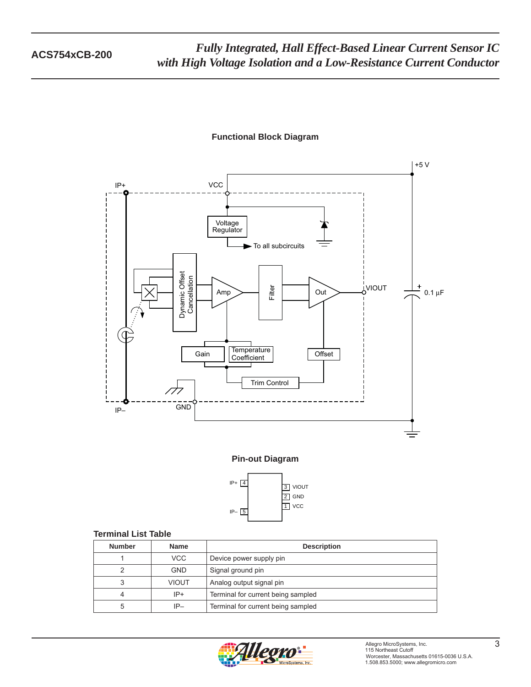





## **Terminal List Table**

| <b>Number</b> | <b>Name</b>  | <b>Description</b>                 |  |  |
|---------------|--------------|------------------------------------|--|--|
|               | VCC.         | Device power supply pin            |  |  |
|               | <b>GND</b>   | Signal ground pin                  |  |  |
| 3             | <b>VIOUT</b> | Analog output signal pin           |  |  |
| 4             | $IP+$        | Terminal for current being sampled |  |  |
| 5             | $IP-$        | Terminal for current being sampled |  |  |

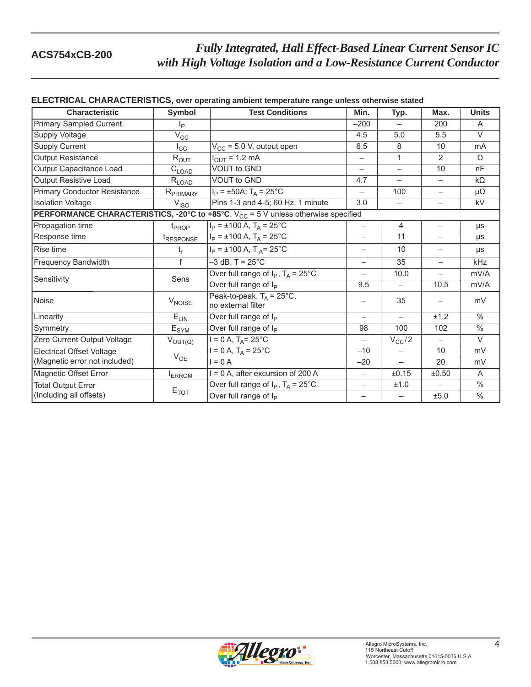| ELECTRICAL CHARACTERISTICS, over operating ambient temperature range unless otherwise stated |                             |                                                                                                          |                          |                          |                          |               |  |  |
|----------------------------------------------------------------------------------------------|-----------------------------|----------------------------------------------------------------------------------------------------------|--------------------------|--------------------------|--------------------------|---------------|--|--|
| <b>Characteristic</b>                                                                        | Symbol                      | <b>Test Conditions</b>                                                                                   | Min.                     | Typ.                     | Max.                     | <b>Units</b>  |  |  |
| <b>Primary Sampled Current</b>                                                               | Ιp                          |                                                                                                          | $-200$                   | $-$                      | 200                      | A             |  |  |
| <b>Supply Voltage</b>                                                                        | $V_{\rm CC}$                |                                                                                                          | 4.5                      | 5.0                      | 5.5                      | $\vee$        |  |  |
| <b>Supply Current</b>                                                                        | $I_{\rm CC}$                | $V_{CC}$ = 5.0 V, output open                                                                            | 6.5                      | 8                        | 10                       | mA            |  |  |
| Output Resistance                                                                            | $R_{OUT}$                   | $I_{OUT} = 1.2 \text{ mA}$                                                                               | $\overline{\phantom{0}}$ | $\mathbf{1}$             | $\overline{2}$           | Ω             |  |  |
| Output Capacitance Load                                                                      | $C_{\text{LOAD}}$           | <b>VOUT to GND</b>                                                                                       | —                        | $\overline{\phantom{0}}$ | 10                       | nF            |  |  |
| Output Resistive Load                                                                        | $R_{LOAD}$                  | <b>VOUT to GND</b>                                                                                       | 4.7                      | $-$                      | $\qquad \qquad -$        | $k\Omega$     |  |  |
| <b>Primary Conductor Resistance</b>                                                          | R <sub>PRIMARY</sub>        | $I_P = \pm 50A$ ; T <sub>A</sub> = 25°C                                                                  | $\overline{\phantom{0}}$ | 100                      | $\overline{\phantom{0}}$ | $\mu\Omega$   |  |  |
| <b>Isolation Voltage</b>                                                                     | V <sub>ISO</sub>            | Pins 1-3 and 4-5; 60 Hz, 1 minute                                                                        | 3.0                      | —                        | —                        | kV            |  |  |
|                                                                                              |                             | <b>PERFORMANCE CHARACTERISTICS, -20°C to +85°C, <math>V_{CC}</math> = 5 V unless otherwise specified</b> |                          |                          |                          |               |  |  |
| Propagation time                                                                             | $t_{PROP}$                  | $I_P = \pm 100$ A, $T_A = 25$ °C                                                                         | $\overline{\phantom{0}}$ | $\overline{4}$           | $\qquad \qquad -$        | μs            |  |  |
| Response time                                                                                | <i><b>TRESPONSE</b></i>     | $I_P = \pm 100$ A, $T_A = 25$ °C                                                                         | —                        | 11                       | -                        | μs            |  |  |
| Rise time                                                                                    | $t_{r}$                     | $I_P = \pm 100$ A, T <sub>A</sub> = 25°C                                                                 | —                        | 10                       | $\qquad \qquad -$        | μs            |  |  |
| Frequency Bandwidth                                                                          | f                           | $-3$ dB, T = 25 $^{\circ}$ C                                                                             | $\overline{\phantom{0}}$ | 35                       | $\overline{\phantom{0}}$ | kHz           |  |  |
| Sensitivity                                                                                  | Sens                        | Over full range of $I_P$ , $T_A = 25^{\circ}$ C                                                          | $-$                      | 10.0                     | $\overline{\phantom{0}}$ | mV/A          |  |  |
|                                                                                              |                             | Over full range of I <sub>p</sub>                                                                        | 9.5                      | $\overline{\phantom{0}}$ | 10.5                     | mV/A          |  |  |
| Noise                                                                                        | <b>V<sub>NOISE</sub></b>    | Peak-to-peak, $T_A = 25^{\circ}C$ ,<br>no external filter                                                |                          | 35                       |                          | mV            |  |  |
| Linearity                                                                                    | $E_{LIN}$                   | Over full range of $I_P$                                                                                 | —                        | $\overline{\phantom{0}}$ | ±1.2                     | $\frac{0}{0}$ |  |  |
| Symmetry                                                                                     | $\mathsf{E}_{\mathsf{SYM}}$ | Over full range of I <sub>p</sub>                                                                        | 98                       | 100                      | 102                      | $\frac{0}{0}$ |  |  |
| Zero Current Output Voltage                                                                  | $V_{OUT(Q)}$                | $I = 0 A$ , $T_A = 25^{\circ}C$                                                                          | $\overline{\phantom{0}}$ | $V_{CC}/2$               |                          | $\vee$        |  |  |
| <b>Electrical Offset Voltage</b>                                                             | $V_{OE}$                    | $I = 0 A$ , $T_A = 25^{\circ}C$                                                                          | $-10$                    | $\overline{\phantom{0}}$ | 10                       | mV            |  |  |
| (Magnetic error not included)                                                                |                             | $I = 0A$                                                                                                 | $-20$                    | $\overline{\phantom{0}}$ | 20                       | mV            |  |  |
| Magnetic Offset Error                                                                        | <b>I</b> ERROM              | $I = 0$ A, after excursion of 200 A                                                                      | $\overline{\phantom{0}}$ | ±0.15                    | ±0.50                    | A             |  |  |
| <b>Total Output Error</b>                                                                    |                             | Over full range of $I_P$ , $T_A = 25^{\circ}$ C                                                          | $\overline{\phantom{0}}$ | ±1.0                     |                          | $\frac{0}{0}$ |  |  |
| (Including all offsets)                                                                      | $E_{TOT}$                   | Over full range of I <sub>P</sub>                                                                        |                          |                          | ±5.0                     | $\%$          |  |  |

## **ELECTRICAL CHARACTERISTICS, over operating ambient temperature range unless otherwise stated**

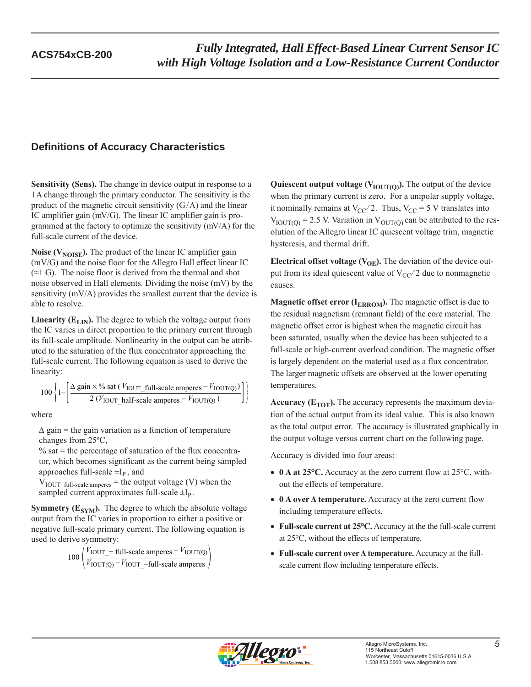# **Definitions of Accuracy Characteristics**

**Sensitivity (Sens).** The change in device output in response to a 1 A change through the primary conductor. The sensitivity is the product of the magnetic circuit sensitivity  $(G/A)$  and the linear IC amplifier gain (mV/G). The linear IC amplifier gain is programmed at the factory to optimize the sensitivity (mV/A) for the full-scale current of the device.

**Noise (** $V_{\text{NOISE}}$ **).** The product of the linear IC amplifier gain (mV/G) and the noise floor for the Allegro Hall effect linear IC  $(\approx 1 \text{ G})$ . The noise floor is derived from the thermal and shot noise observed in Hall elements. Dividing the noise (mV) by the sensitivity (mV/A) provides the smallest current that the device is able to resolve.

**Linearity (** $E_{LIN}$ **).** The degree to which the voltage output from the IC varies in direct proportion to the primary current through its full-scale amplitude. Nonlinearity in the output can be attributed to the saturation of the flux concentrator approaching the full-scale current. The following equation is used to derive the linearity:

$$
100 \left\{ 1 - \left[ \frac{\Delta \text{ gain} \times \% \text{ sat } (V_{\text{IOUT\_full-scale amperes}} - V_{\text{IOUT(Q)}})}{2 (V_{\text{IOUT\_half-scale amperes}} - V_{\text{IOUT(Q)}})} \right] \right\}
$$

where

 $\Delta$  gain = the gain variation as a function of temperature changes from 25ºC,

 $\%$  sat = the percentage of saturation of the flux concentrator, which becomes significant as the current being sampled approaches full-scale  $\pm I_{P}$ , and

 $V_{\text{IOUT}\_{\text{full-scale amperes}}}=$  the output voltage (V) when the sampled current approximates full-scale  $\pm I_p$ .

**Symmetry (** $E_{SYM}$ **).** The degree to which the absolute voltage output from the IC varies in proportion to either a positive or negative full-scale primary current. The following equation is used to derive symmetry:

$$
100\left(\frac{V_{\text{IOUT\_}} + \text{full-scale amperes} - V_{\text{IOUT(Q)}}}{V_{\text{IOUT(Q)}} - V_{\text{IOUT\_}} - \text{full-scale amperes}}\right)
$$

**Quiescent output voltage (** $V_{\text{IOUT(O)}}$ **).** The output of the device when the primary current is zero. For a unipolar supply voltage, it nominally remains at  $V_{CC}/2$ . Thus,  $V_{CC} = 5$  V translates into  $V_{\text{IOUT(O)}} = 2.5$  V. Variation in  $V_{\text{OUT(O)}}$  can be attributed to the resolution of the Allegro linear IC quiescent voltage trim, magnetic hysteresis, and thermal drift.

**Electrical offset voltage (** $V_{OE}$ **).** The deviation of the device output from its ideal quiescent value of  $V_{CC}/2$  due to nonmagnetic causes.

**Magnetic offset error (** $I_{ERROM}$ **).** The magnetic offset is due to the residual magnetism (remnant field) of the core material. The magnetic offset error is highest when the magnetic circuit has been saturated, usually when the device has been subjected to a full-scale or high-current overload condition. The magnetic offset is largely dependent on the material used as a flux concentrator. The larger magnetic offsets are observed at the lower operating temperatures.

**Accuracy (** $E_{TOT}$ **).** The accuracy represents the maximum deviation of the actual output from its ideal value. This is also known as the total output error. The accuracy is illustrated graphically in the output voltage versus current chart on the following page.

Accuracy is divided into four areas:

- **0 A at 25°C.** Accuracy at the zero current flow at 25°C, without the effects of temperature.
- **0 A over Δ temperature.** Accuracy at the zero current flow including temperature effects.
- **Full-scale current at 25°C.** Accuracy at the the full-scale current at 25°C, without the effects of temperature.
- **Full-scale current over Δ temperature.** Accuracy at the fullscale current flow including temperature effects.

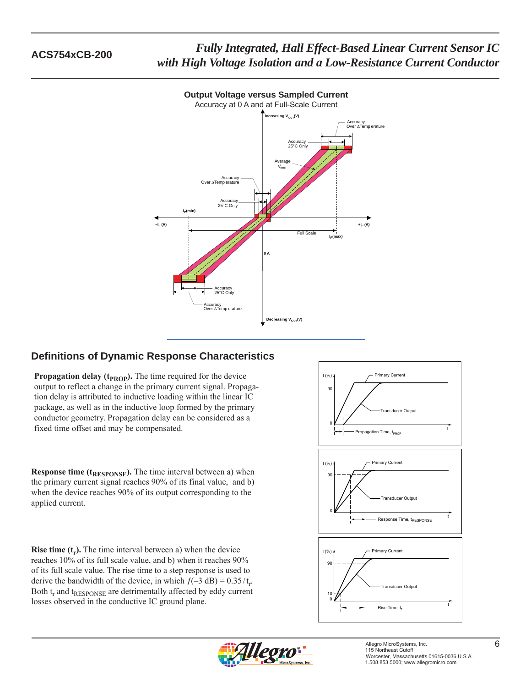

# **Output Voltage versus Sampled Current**

# **Definitions of Dynamic Response Characteristics**

**Propagation delay (** $t_{PROP}$ **).** The time required for the device output to reflect a change in the primary current signal. Propagation delay is attributed to inductive loading within the linear IC package, as well as in the inductive loop formed by the primary conductor geometry. Propagation delay can be considered as a fixed time offset and may be compensated.

**Response time (t<sub>RESPONSE</sub>).** The time interval between a) when the primary current signal reaches 90% of its final value, and b) when the device reaches 90% of its output corresponding to the applied current.

**Rise time (t<sub>r</sub>).** The time interval between a) when the device reaches 10% of its full scale value, and b) when it reaches 90% of its full scale value. The rise time to a step response is used to derive the bandwidth of the device, in which  $f(-3 \text{ dB}) = 0.35/t_r$ . Both  $t_r$  and  $t_{RESPONSE}$  are detrimentally affected by eddy current losses observed in the conductive IC ground plane.



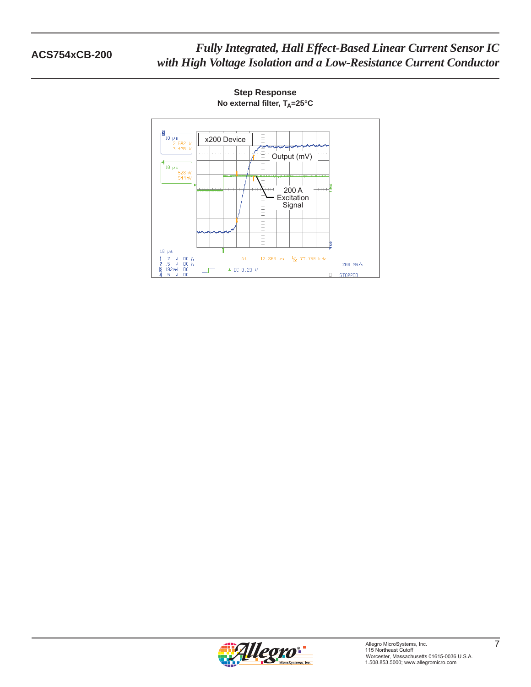

**Step Response No external filter, T<sub>A</sub>=25°C**